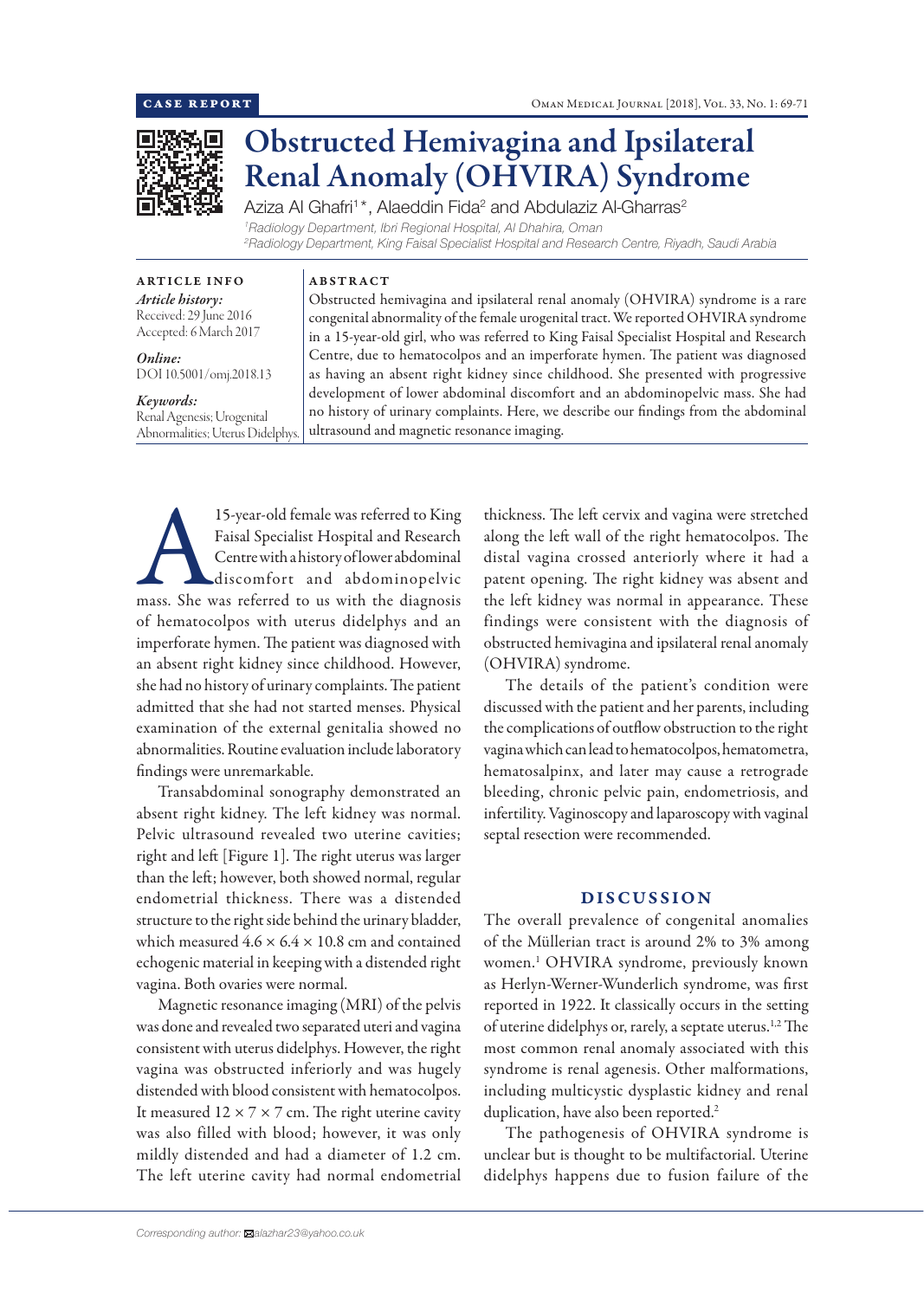

# Obstructed Hemivagina and Ipsilateral Renal Anomaly (OHVIRA) Syndrome

Aziza Al Ghafri<sup>1\*</sup>, Alaeddin Fida<sup>2</sup> and Abdulaziz Al-Gharras<sup>2</sup> *1 Radiology Department, Ibri Regional Hospital, Al Dhahira, Oman 2 Radiology Department, King Faisal Specialist Hospital and Research Centre, Riyadh, Saudi Arabia*

ARTICLE INFO *Article history:* Received: 29 June 2016 Accepted: 6 March 2017

*Online:* DOI 10.5001/omj.2018.13

## *Keywords:*

Renal Agenesis; Urogenital Abnormalities; Uterus Didelphys.

Obstructed hemivagina and ipsilateral renal anomaly (OHVIRA) syndrome is a rare congenital abnormality of the female urogenital tract. We reported OHVIRA syndrome in a 15-year-old girl, who was referred to King Faisal Specialist Hospital and Research Centre, due to hematocolpos and an imperforate hymen. The patient was diagnosed as having an absent right kidney since childhood. She presented with progressive development of lower abdominal discomfort and an abdominopelvic mass. She had no history of urinary complaints. Here, we describe our findings from the abdominal ultrasound and magnetic resonance imaging.

15-year-old female was referred to King<br>Faisal Specialist Hospital and Research<br>Centrewith a history of lower abdominal<br>discomfort and abdominopelvic<br>mass. She was referred to us with the diagnosis Faisal Specialist Hospital and Research Centre with a history of lower abdominal discomfort and abdominopelvic of hematocolpos with uterus didelphys and an imperforate hymen. The patient was diagnosed with an absent right kidney since childhood. However, she had no history of urinary complaints. The patient admitted that she had not started menses. Physical examination of the external genitalia showed no abnormalities. Routine evaluation include laboratory findings were unremarkable.

ABSTRACT

Transabdominal sonography demonstrated an absent right kidney. The left kidney was normal. Pelvic ultrasound revealed two uterine cavities; right and left [Figure 1]. The right uterus was larger than the left; however, both showed normal, regular endometrial thickness. There was a distended structure to the right side behind the urinary bladder, which measured  $4.6 \times 6.4 \times 10.8$  cm and contained echogenic material in keeping with a distended right vagina. Both ovaries were normal.

Magnetic resonance imaging (MRI) of the pelvis was done and revealed two separated uteri and vagina consistent with uterus didelphys. However, the right vagina was obstructed inferiorly and was hugely distended with blood consistent with hematocolpos. It measured  $12 \times 7 \times 7$  cm. The right uterine cavity was also filled with blood; however, it was only mildly distended and had a diameter of 1.2 cm. The left uterine cavity had normal endometrial thickness. The left cervix and vagina were stretched along the left wall of the right hematocolpos. The distal vagina crossed anteriorly where it had a patent opening. The right kidney was absent and the left kidney was normal in appearance. These findings were consistent with the diagnosis of obstructed hemivagina and ipsilateral renal anomaly (OHVIRA) syndrome.

The details of the patient's condition were discussed with the patient and her parents, including the complications of outflow obstruction to the right vagina which can lead to hematocolpos, hematometra, hematosalpinx, and later may cause a retrograde bleeding, chronic pelvic pain, endometriosis, and infertility. Vaginoscopy and laparoscopy with vaginal septal resection were recommended.

## DISCUSSION

The overall prevalence of congenital anomalies of the Müllerian tract is around 2% to 3% among women.1 OHVIRA syndrome, previously known as Herlyn-Werner-Wunderlich syndrome, was first reported in 1922. It classically occurs in the setting of uterine didelphys or, rarely, a septate uterus.<sup>1,2</sup> The most common renal anomaly associated with this syndrome is renal agenesis. Other malformations, including multicystic dysplastic kidney and renal duplication, have also been reported.<sup>2</sup>

The pathogenesis of OHVIRA syndrome is unclear but is thought to be multifactorial. Uterine didelphys happens due to fusion failure of the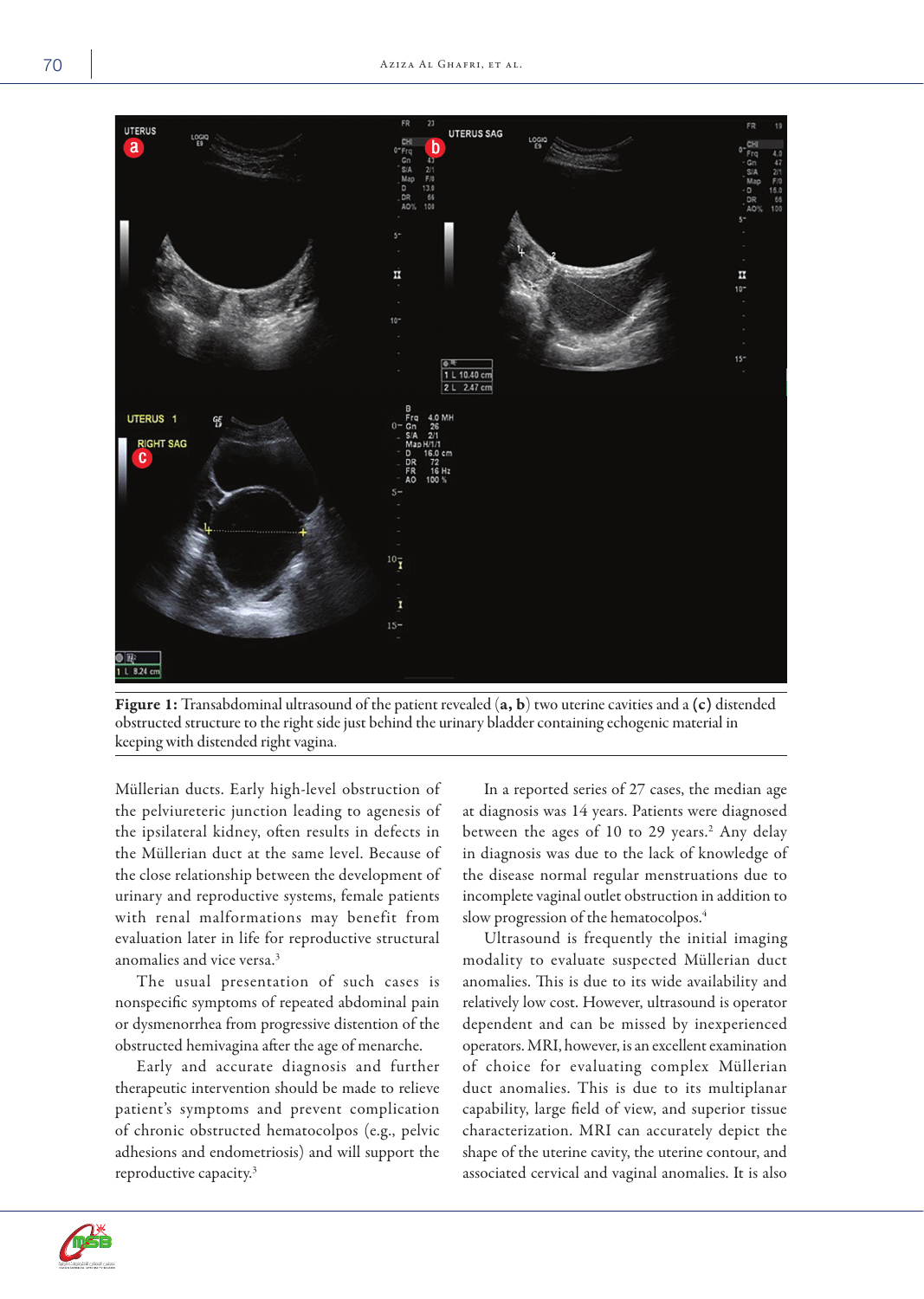

Figure 1: Transabdominal ultrasound of the patient revealed (a, b) two uterine cavities and a (c) distended obstructed structure to the right side just behind the urinary bladder containing echogenic material in keeping with distended right vagina.

Müllerian ducts. Early high-level obstruction of the pelviureteric junction leading to agenesis of the ipsilateral kidney, often results in defects in the Müllerian duct at the same level. Because of the close relationship between the development of urinary and reproductive systems, female patients with renal malformations may benefit from evaluation later in life for reproductive structural anomalies and vice versa.3

The usual presentation of such cases is nonspecific symptoms of repeated abdominal pain or dysmenorrhea from progressive distention of the obstructed hemivagina after the age of menarche.

Early and accurate diagnosis and further therapeutic intervention should be made to relieve patient's symptoms and prevent complication of chronic obstructed hematocolpos (e.g., pelvic adhesions and endometriosis) and will support the reproductive capacity.3

In a reported series of 27 cases, the median age at diagnosis was 14 years. Patients were diagnosed between the ages of 10 to 29 years.<sup>2</sup> Any delay in diagnosis was due to the lack of knowledge of the disease normal regular menstruations due to incomplete vaginal outlet obstruction in addition to slow progression of the hematocolpos.4

Ultrasound is frequently the initial imaging modality to evaluate suspected Müllerian duct anomalies. This is due to its wide availability and relatively low cost. However, ultrasound is operator dependent and can be missed by inexperienced operators. MRI, however, is an excellent examination of choice for evaluating complex Müllerian duct anomalies. This is due to its multiplanar capability, large field of view, and superior tissue characterization. MRI can accurately depict the shape of the uterine cavity, the uterine contour, and associated cervical and vaginal anomalies. It is also